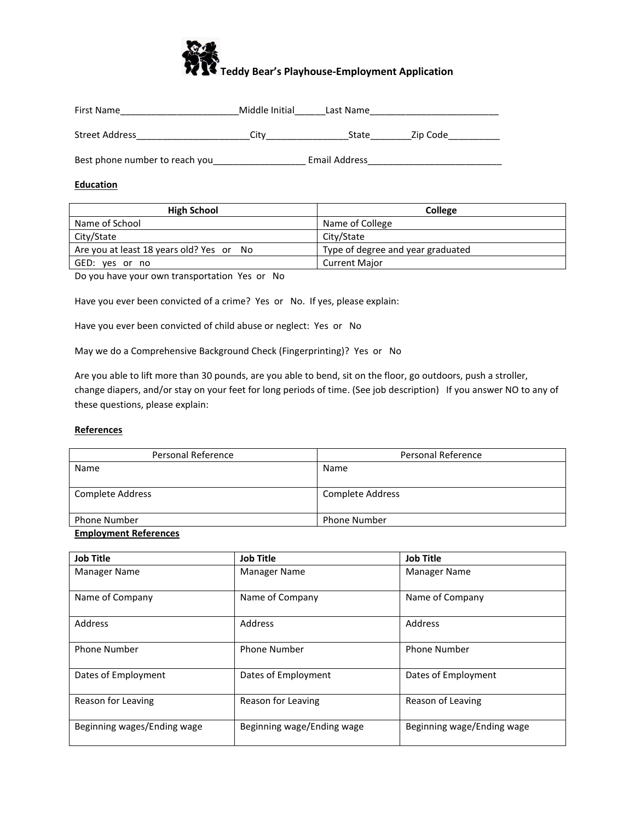

| First Name                     | Middle Initial | Last Name     |          |
|--------------------------------|----------------|---------------|----------|
| Street Address                 | City           | State         | Zip Code |
| Best phone number to reach you |                | Email Address |          |

#### **Education**

| <b>High School</b>                       | College                           |
|------------------------------------------|-----------------------------------|
| Name of School                           | Name of College                   |
| City/State                               | City/State                        |
| Are you at least 18 years old? Yes or No | Type of degree and year graduated |
| GED: yes or no                           | <b>Current Major</b>              |

Do you have your own transportation Yes or No

Have you ever been convicted of a crime? Yes or No. If yes, please explain:

Have you ever been convicted of child abuse or neglect: Yes or No

May we do a Comprehensive Background Check (Fingerprinting)? Yes or No

Are you able to lift more than 30 pounds, are you able to bend, sit on the floor, go outdoors, push a stroller, change diapers, and/or stay on your feet for long periods of time. (See job description) If you answer NO to any of these questions, please explain:

#### **References**

| Personal Reference  | Personal Reference |
|---------------------|--------------------|
| Name                | Name               |
|                     |                    |
| Complete Address    | Complete Address   |
|                     |                    |
| <b>Phone Number</b> | Phone Number       |
| _ . _ _ _           |                    |

#### **Employment References**

| <b>Job Title</b>            | <b>Job Title</b>           | <b>Job Title</b>           |
|-----------------------------|----------------------------|----------------------------|
| Manager Name                | <b>Manager Name</b>        | <b>Manager Name</b>        |
| Name of Company             | Name of Company            | Name of Company            |
| Address                     | Address                    | Address                    |
| <b>Phone Number</b>         | <b>Phone Number</b>        | <b>Phone Number</b>        |
| Dates of Employment         | Dates of Employment        | Dates of Employment        |
| Reason for Leaving          | Reason for Leaving         | Reason of Leaving          |
| Beginning wages/Ending wage | Beginning wage/Ending wage | Beginning wage/Ending wage |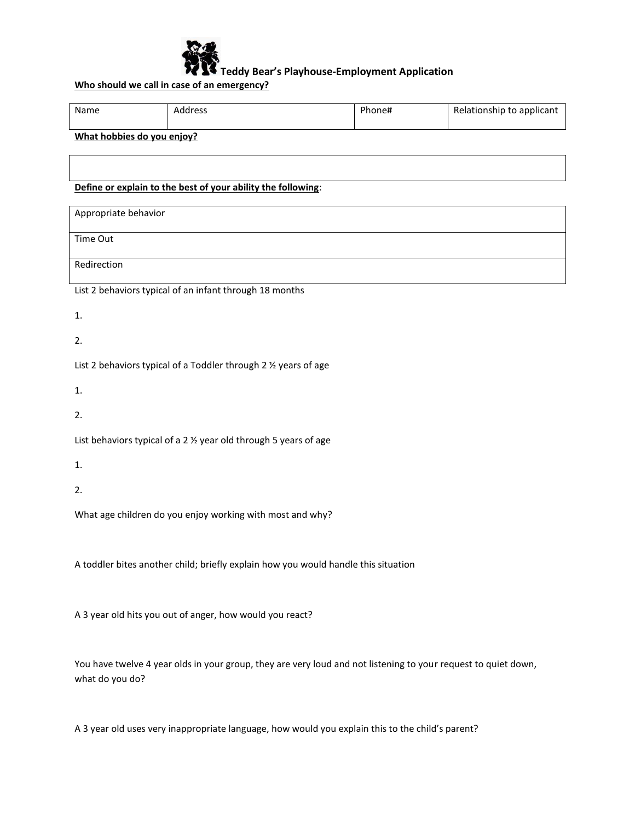

# **Who should we call in case of an emergency?**

| Name | Address                  | Phone# | Relationship to applicant |
|------|--------------------------|--------|---------------------------|
|      | $\overline{\phantom{a}}$ |        |                           |

## **What hobbies do you enjoy?**

# **Define or explain to the best of your ability the following**:

| Appropriate behavior                                    |
|---------------------------------------------------------|
|                                                         |
|                                                         |
| Time Out                                                |
|                                                         |
|                                                         |
| Redirection                                             |
|                                                         |
|                                                         |
| List 2 habaviors typical of an infant through 18 months |

List 2 behaviors typical of an infant through 18 months

1.

2.

List 2 behaviors typical of a Toddler through 2 ½ years of age

1.

2.

List behaviors typical of a 2 ½ year old through 5 years of age

1.

2.

What age children do you enjoy working with most and why?

A toddler bites another child; briefly explain how you would handle this situation

A 3 year old hits you out of anger, how would you react?

You have twelve 4 year olds in your group, they are very loud and not listening to your request to quiet down, what do you do?

A 3 year old uses very inappropriate language, how would you explain this to the child's parent?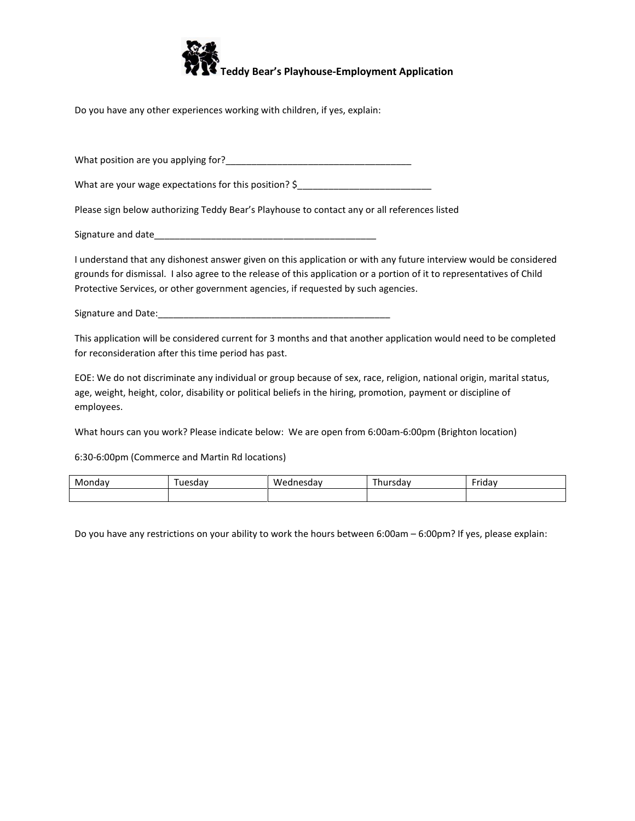

Do you have any other experiences working with children, if yes, explain:

What position are you applying for?\_\_\_\_\_\_\_\_\_\_\_\_\_\_\_\_\_\_\_\_\_\_\_\_\_\_\_\_\_\_\_\_\_\_\_\_

What are your wage expectations for this position? \$\_\_\_\_\_\_\_\_\_\_\_\_\_\_\_\_\_\_\_\_\_\_\_\_\_\_\_\_

Please sign below authorizing Teddy Bear's Playhouse to contact any or all references listed

Signature and date

I understand that any dishonest answer given on this application or with any future interview would be considered grounds for dismissal. I also agree to the release of this application or a portion of it to representatives of Child Protective Services, or other government agencies, if requested by such agencies.

Signature and Date:

This application will be considered current for 3 months and that another application would need to be completed for reconsideration after this time period has past.

EOE: We do not discriminate any individual or group because of sex, race, religion, national origin, marital status, age, weight, height, color, disability or political beliefs in the hiring, promotion, payment or discipline of employees.

What hours can you work? Please indicate below: We are open from 6:00am-6:00pm (Brighton location)

6:30-6:00pm (Commerce and Martin Rd locations)

| . .<br>Mondav | uesdav | <b>WF</b><br>suav | Thursday | $ \cdot$<br>Friday |
|---------------|--------|-------------------|----------|--------------------|
|               |        |                   |          |                    |

Do you have any restrictions on your ability to work the hours between 6:00am – 6:00pm? If yes, please explain: